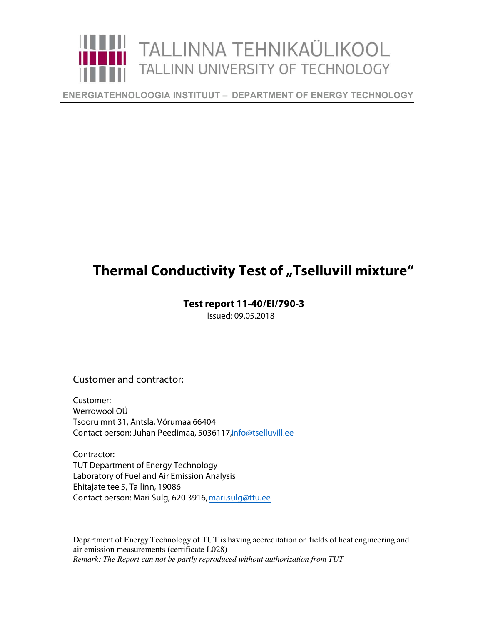

**ENERGIATEHNOLOOGIA INSTITUUT** ‒ **DEPARTMENT OF ENERGY TECHNOLOGY** 

## **Thermal Conductivity Test of "Tselluvill mixture"**

## **Test report 11-40/EI/790-3**

Issued: 09.05.2018

Customer and contractor:

Customer: Werrowool OÜ Tsooru mnt 31, Antsla, Võrumaa 66404 Contact person: Juhan Peedimaa, 5036117, info@tselluvill.ee

Contractor: TUT Department of Energy Technology Laboratory of Fuel and Air Emission Analysis Ehitajate tee 5, Tallinn, 19086 Contact person: Mari Sulg, 620 3916,mari.sulg@ttu.ee

Department of Energy Technology of TUT is having accreditation on fields of heat engineering and air emission measurements (certificate L028) *Remark: The Report can not be partly reproduced without authorization from TUT*